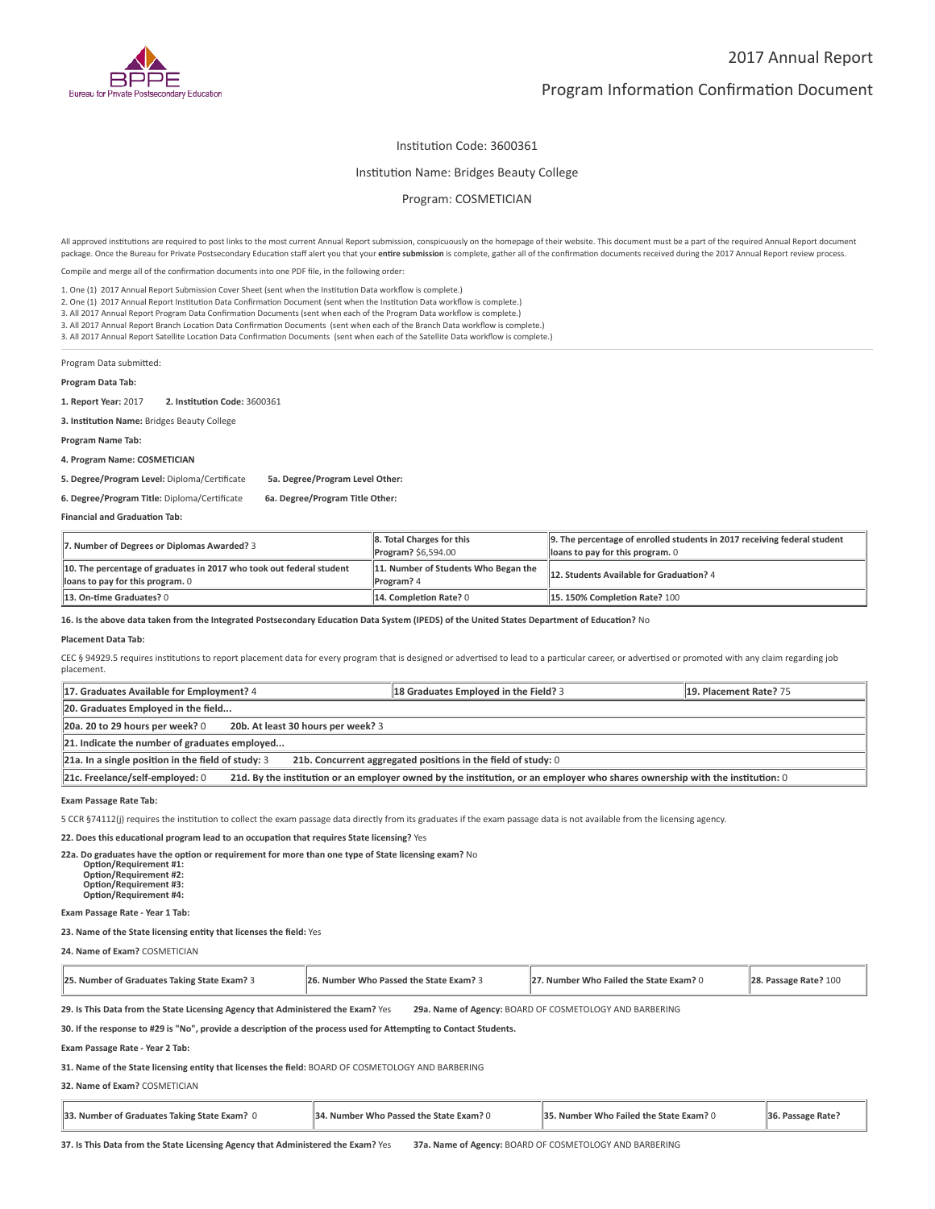

# Program Information Confirmation Document

## Institution Code: 3600361

#### Institution Name: Bridges Beauty College

### Program: COSMETICIAN

All approved institutions are required to post links to the most current Annual Report submission, conspicuously on the homepage of their website. This document must be a part of the required Annual Report document package. Once the Bureau for Private Postsecondary Education staff alert you that your **entire submission** is complete, gather all of the confirmation documents received during the 2017 Annual Report review process.

Compile and merge all of the confirmation documents into one PDF file, in the following order:

1. One (1) 2017 Annual Report Submission Cover Sheet (sent when the Institution Data workflow is complete.)

2. One (1) 2017 Annual Report Institution Data Confirmation Document (sent when the Institution Data workflow is complete.)

3. All 2017 Annual Report Program Data Confirmation Documents (sent when each of the Program Data workflow is complete.)

3. All 2017 Annual Report Branch Location Data Confirmation Documents (sent when each of the Branch Data workflow is complete.)

3. All 2017 Annual Report Satellite Location Data Confirmation Documents (sent when each of the Satellite Data workflow is complete.)

Program Data submitted:

**Program Data Tab:**

**1. Report Year:** 2017 **2. Institution Code:** 3600361

**3. Institution Name:** Bridges Beauty College

**Program Name Tab:**

**4. Program Name: COSMETICIAN** 

**5. Degree/Program Level:** Diploma/Certificate **5a. Degree/Program Level Other:**

#### **6. Degree/Program Title:** Diploma/Certificate **6a. Degree/Program Title Other:**

**Financial and Graduation Tab:**

| 7. Number of Degrees or Diplomas Awarded? 3                                                              | 8. Total Charges for this<br><b>Program?</b> \$6,594.00   | 9. The percentage of enrolled students in 2017 receiving federal student<br>loans to pay for this program. 0 |
|----------------------------------------------------------------------------------------------------------|-----------------------------------------------------------|--------------------------------------------------------------------------------------------------------------|
| 10. The percentage of graduates in 2017 who took out federal student<br>loans to pay for this program. 0 | 11. Number of Students Who Began the<br><b>Program?</b> 4 | 12. Students Available for Graduation? 4                                                                     |
| 13. On-time Graduates? 0                                                                                 | 14. Completion Rate? 0                                    | 15.150% Completion Rate? 100                                                                                 |

#### **16. Is the above data taken from the Integrated Postsecondary Education Data System (IPEDS) of the United States Department of Education?** No

#### **Placement Data Tab:**

CEC § 94929.5 requires institutions to report placement data for every program that is designed or advertised to lead to a particular career, or advertised or promoted with any claim regarding job placement.

| 17. Graduates Available for Employment? 4                                                                                                                       |                                    | 18 Graduates Employed in the Field? 3                         | 19. Placement Rate? 75 |
|-----------------------------------------------------------------------------------------------------------------------------------------------------------------|------------------------------------|---------------------------------------------------------------|------------------------|
| 20. Graduates Employed in the field                                                                                                                             |                                    |                                                               |                        |
| 20a. 20 to 29 hours per week? 0                                                                                                                                 | 20b. At least 30 hours per week? 3 |                                                               |                        |
| 21. Indicate the number of graduates employed                                                                                                                   |                                    |                                                               |                        |
| $21a$ . In a single position in the field of study: 3                                                                                                           |                                    | 21b. Concurrent aggregated positions in the field of study: 0 |                        |
| 21d. By the institution or an employer owned by the institution, or an employer who shares ownership with the institution: 0<br>21c. Freelance/self-employed: 0 |                                    |                                                               |                        |

**Exam Passage Rate Tab:**

5 CCR §74112(j) requires the institution to collect the exam passage data directly from its graduates if the exam passage data is not available from the licensing agency.

**22. Does this educational program lead to an occupation that requires State licensing?** Yes

**22a. Do graduates have the option or requirement for more than one type of State licensing exam?** No

 **Option/Requirement #1: Option/Requirement #2: Option/Requirement #3: Option/Requirement #4:**

#### **Exam Passage Rate - Year 1 Tab:**

**23. Name of the State licensing entity that licenses the field:** Yes

**24. Name of Exam?** COSMETICIAN

| 25. Number of Graduates Taking State Exam? 3 | 26. Number Who Passed the State Exam? 3 | 27. Number Who Failed the State Exam? 0 | 28. Passage Rate? 100 |
|----------------------------------------------|-----------------------------------------|-----------------------------------------|-----------------------|
|----------------------------------------------|-----------------------------------------|-----------------------------------------|-----------------------|

**29. Is This Data from the State Licensing Agency that Administered the Exam?** Yes **29a. Name of Agency:** BOARD OF COSMETOLOGY AND BARBERING

**30. If the response to #29 is "No", provide a description of the process used for Attempting to Contact Students.**

**Exam Passage Rate - Year 2 Tab:**

**31. Name of the State licensing entity that licenses the field:** BOARD OF COSMETOLOGY AND BARBERING

**32. Name of Exam?** COSMETICIAN

| 33. Number of Graduates Taking State Exam? 0 | 34. Number Who Passed the State Exam? 0 | <b>35. Number Who Failed the State Exam? 0</b> | 36. Passage Rate? |  |
|----------------------------------------------|-----------------------------------------|------------------------------------------------|-------------------|--|
|----------------------------------------------|-----------------------------------------|------------------------------------------------|-------------------|--|